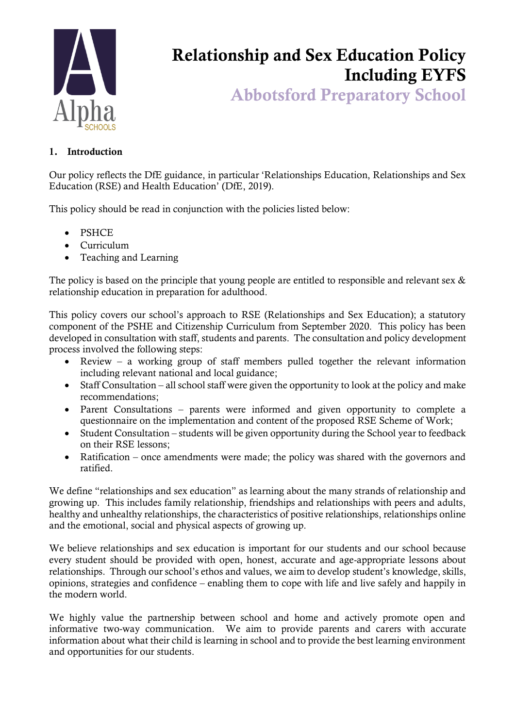

# Relationship and Sex Education Policy Including EYFS

Abbotsford Preparatory School

# 1. Introduction

Our policy reflects the DfE guidance, in particular 'Relationships Education, Relationships and Sex Education (RSE) and Health Education' (DfE, 2019).

This policy should be read in conjunction with the policies listed below:

- PSHCE
- Curriculum
- Teaching and Learning

The policy is based on the principle that young people are entitled to responsible and relevant sex  $\&$ relationship education in preparation for adulthood.

This policy covers our school's approach to RSE (Relationships and Sex Education); a statutory component of the PSHE and Citizenship Curriculum from September 2020. This policy has been developed in consultation with staff, students and parents. The consultation and policy development process involved the following steps:

- Review a working group of staff members pulled together the relevant information including relevant national and local guidance;
- Staff Consultation all school staff were given the opportunity to look at the policy and make recommendations;
- Parent Consultations parents were informed and given opportunity to complete a questionnaire on the implementation and content of the proposed RSE Scheme of Work;
- Student Consultation students will be given opportunity during the School year to feedback on their RSE lessons;
- Ratification once amendments were made; the policy was shared with the governors and ratified.

We define "relationships and sex education" as learning about the many strands of relationship and growing up. This includes family relationship, friendships and relationships with peers and adults, healthy and unhealthy relationships, the characteristics of positive relationships, relationships online and the emotional, social and physical aspects of growing up.

We believe relationships and sex education is important for our students and our school because every student should be provided with open, honest, accurate and age-appropriate lessons about relationships. Through our school's ethos and values, we aim to develop student's knowledge, skills, opinions, strategies and confidence – enabling them to cope with life and live safely and happily in the modern world.

We highly value the partnership between school and home and actively promote open and informative two-way communication. We aim to provide parents and carers with accurate information about what their child is learning in school and to provide the best learning environment and opportunities for our students.